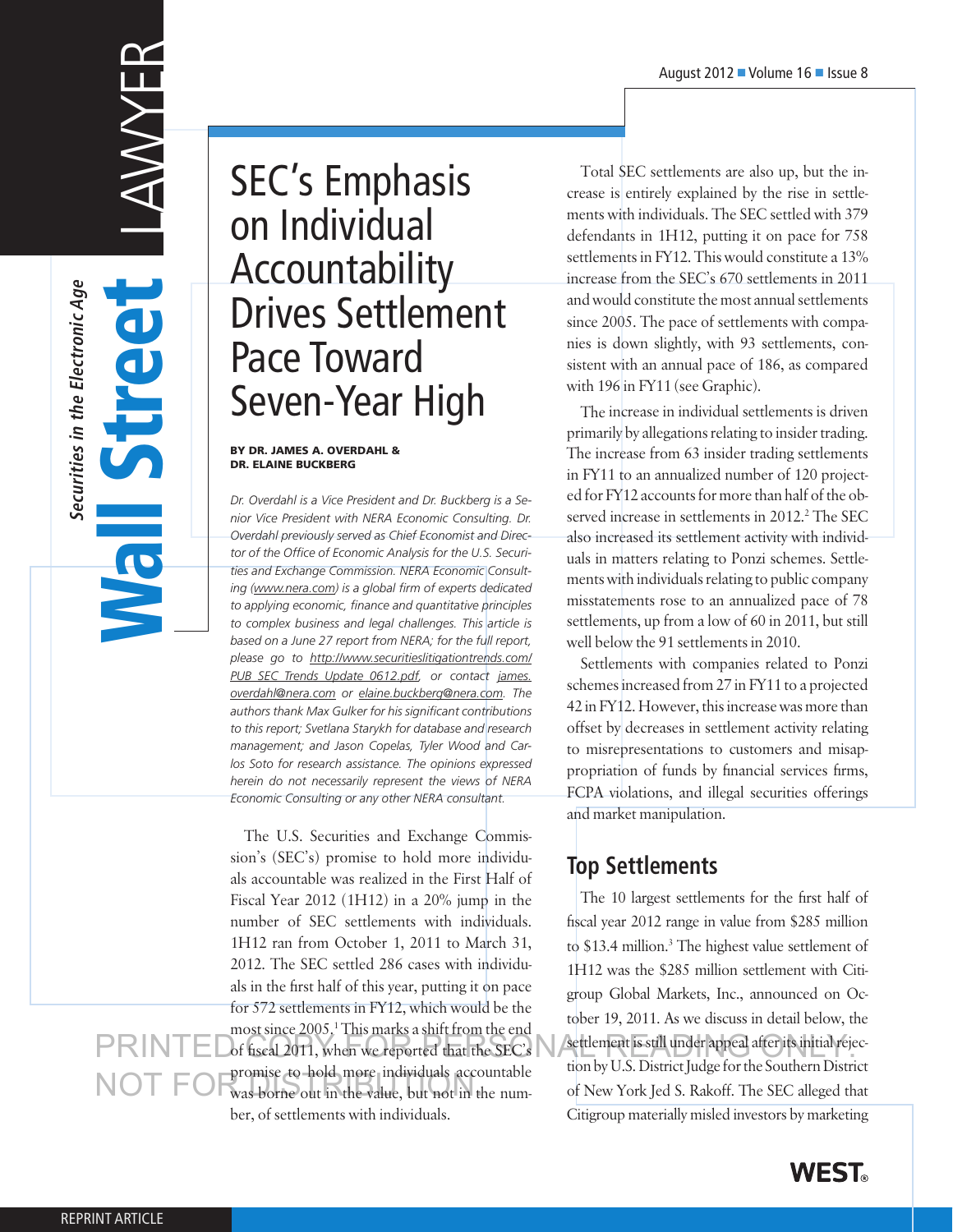# **EMMULIDEST**

Wall Street

**Securities in the Electronic Age**

Securities in the Electronic Age

SEC's Emphasis on Individual Accountability Drives Settlement Pace Toward Seven-Year High

### By Dr. James A. Overdahl & Dr. Elaine Buckberg

*Dr. Overdahl is a Vice President and Dr. Buckberg is a Senior Vice President with NERA Economic Consulting. Dr. Overdahl previously served as Chief Economist and Director of the Office of Economic Analysis for the U.S. Securities and Exchange Commission. NERA Economic Consulting (www.nera.com) is a global firm of experts dedicated to applying economic, finance and quantitative principles to complex business and legal challenges. This article is based on a June 27 report from NERA; for the full report, please go to http://www.securitieslitigationtrends.com/ PUB\_SEC\_Trends\_Update\_0612.pdf, or contact james. overdahl@nera.com or elaine.buckberg@nera.com. The authors thank Max Gulker for his significant contributions to this report; Svetlana Starykh for database and research management; and Jason Copelas, Tyler Wood and Carlos Soto for research assistance. The opinions expressed herein do not necessarily represent the views of NERA Economic Consulting or any other NERA consultant.*

The U.S. Securities and Exchange Commission's (SEC's) promise to hold more individuals accountable was realized in the First Half of Fiscal Year 2012 (1H12) in a 20% jump in the number of SEC settlements with individuals. 1H12 ran from October 1, 2011 to March 31, 2012. The SEC settled 286 cases with individuals in the first half of this year, putting it on pace for 572 settlements in FY12, which would be the most since 2005.<sup>1</sup> This marks a shift from the end of fiscal 2011, when we reported that the SEC's promise to hold more individuals accountable promise to note move manyous accountance<br>was borne out in the value, but not in the number, of settlements with individuals. settlement is still under appeal after its initial rejection fiscal 2011, when we reported that the SEC's

Total SEC settlements are also up, but the increase is entirely explained by the rise in settlements with individuals. The SEC settled with 379 defendants in 1H12, putting it on pace for 758 settlements in FY12. This would constitute a 13% increase from the SEC's 670 settlements in 2011 and would constitute the most annual settlements since 2005. The pace of settlements with companies is down slightly, with 93 settlements, consistent with an annual pace of 186, as compared with 196 in FY11 (see Graphic).

The increase in individual settlements is driven primarily by allegations relating to insider trading. The increase from 63 insider trading settlements in FY11 to an annualized number of 120 projected for FY12 accounts for more than half of the observed increase in settlements in 2012.<sup>2</sup> The SEC also increased its settlement activity with individuals in matters relating to Ponzi schemes. Settlements with individuals relating to public company misstatements rose to an annualized pace of 78 settlements, up from a low of 60 in 2011, but still well below the 91 settlements in 2010.

Settlements with companies related to Ponzi schemes increased from 27 in FY11 to a projected 42 in FY12. However, this increase was more than offset by decreases in settlement activity relating to misrepresentations to customers and misappropriation of funds by financial services firms, FCPA violations, and illegal securities offerings and market manipulation.

# **Top Settlements**

The 10 largest settlements for the first half of fiscal year 2012 range in value from \$285 million to \$13.4 million.<sup>3</sup> The highest value settlement of 1H12 was the \$285 million settlement with Citigroup Global Markets, Inc., announced on October 19, 2011. As we discuss in detail below, the tion by U.S. District Judge for the Southern District of New York Jed S. Rakoff. The SEC alleged that Citigroup materially misled investors by marketing